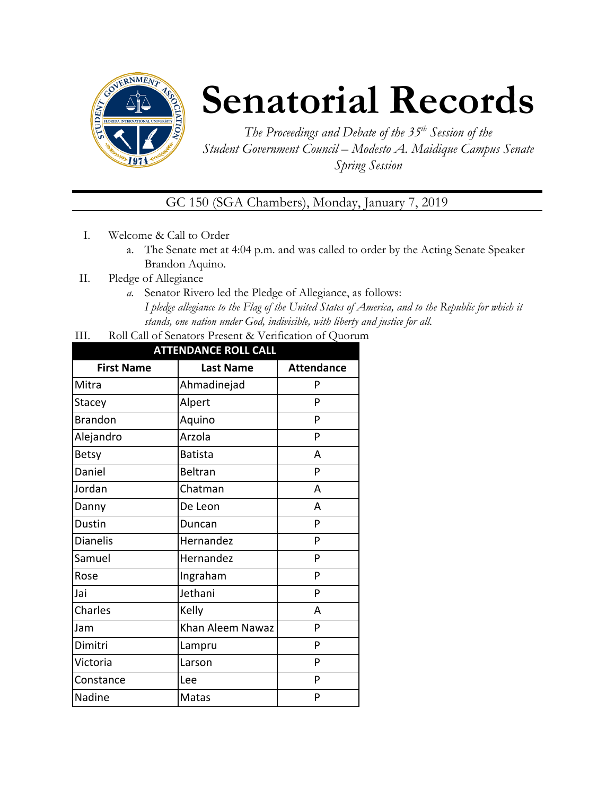

# **Senatorial Records**

*The Proceedings and Debate of the 35 th Session of the Student Government Council – Modesto A. Maidique Campus Senate Spring Session*

GC 150 (SGA Chambers), Monday, January 7, 2019

- I. Welcome & Call to Order
	- a. The Senate met at 4:04 p.m. and was called to order by the Acting Senate Speaker Brandon Aquino.
- II. Pledge of Allegiance
	- *a.* Senator Rivero led the Pledge of Allegiance, as follows: *I pledge allegiance to the Flag of the United States of America, and to the Republic for which it stands, one nation under God, indivisible, with liberty and justice for all.*
- III. Roll Call of Senators Present & Verification of Quorum

| <b>ATTENDANCE ROLL CALL</b> |                  |                   |  |  |
|-----------------------------|------------------|-------------------|--|--|
| <b>First Name</b>           | <b>Last Name</b> | <b>Attendance</b> |  |  |
| Mitra                       | Ahmadinejad      | P                 |  |  |
| Stacey                      | Alpert           | P                 |  |  |
| <b>Brandon</b>              | Aquino           | P                 |  |  |
| Alejandro                   | Arzola           | P                 |  |  |
| <b>Betsy</b>                | <b>Batista</b>   | A                 |  |  |
| Daniel                      | Beltran          | P                 |  |  |
| Jordan                      | Chatman          | A                 |  |  |
| Danny                       | De Leon          | A                 |  |  |
| Dustin                      | Duncan           | P                 |  |  |
| <b>Dianelis</b>             | Hernandez        | P                 |  |  |
| Samuel                      | Hernandez        | P                 |  |  |
| Rose                        | Ingraham         | P                 |  |  |
| Jai                         | Jethani          | P                 |  |  |
| Charles                     | Kelly            | A                 |  |  |
| Jam                         | Khan Aleem Nawaz | P                 |  |  |
| Dimitri                     | Lampru           | P                 |  |  |
| Victoria                    | Larson           | P                 |  |  |
| Constance                   | Lee              | P                 |  |  |
| Nadine                      | <b>Matas</b>     | P                 |  |  |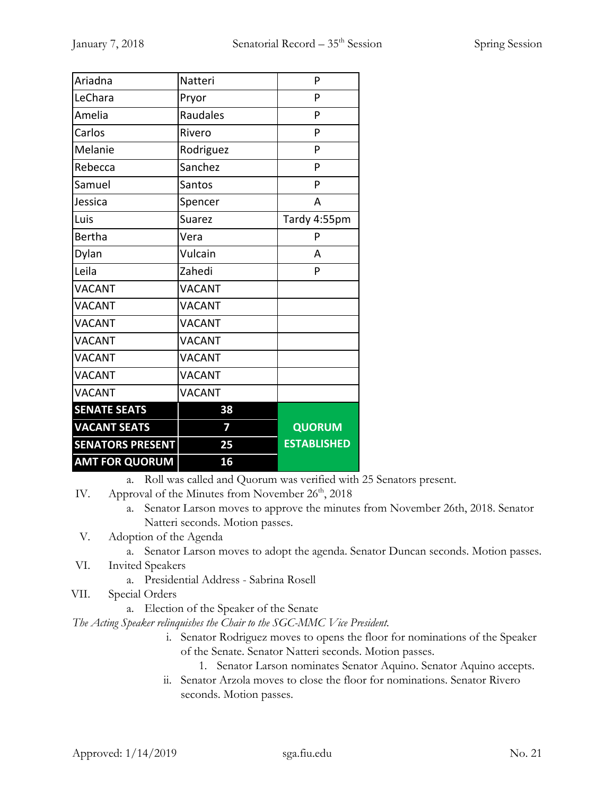| Ariadna                 | Natteri       | P                  |
|-------------------------|---------------|--------------------|
| LeChara                 | Pryor         | P                  |
| Amelia                  | Raudales      | P                  |
| Carlos                  | Rivero        | P                  |
| Melanie                 | Rodriguez     | P                  |
| Rebecca                 | Sanchez       | P                  |
| Samuel                  | Santos        | P                  |
| Jessica                 | Spencer       | A                  |
| Luis                    | <b>Suarez</b> | Tardy 4:55pm       |
| <b>Bertha</b>           | Vera          | P                  |
| Dylan                   | Vulcain       | A                  |
| Leila                   | Zahedi        | P                  |
| <b>VACANT</b>           | <b>VACANT</b> |                    |
| <b>VACANT</b>           | <b>VACANT</b> |                    |
| <b>VACANT</b>           | <b>VACANT</b> |                    |
| <b>VACANT</b>           | <b>VACANT</b> |                    |
| <b>VACANT</b>           | <b>VACANT</b> |                    |
| <b>VACANT</b>           | <b>VACANT</b> |                    |
| <b>VACANT</b>           | <b>VACANT</b> |                    |
| <b>SENATE SEATS</b>     | 38            |                    |
| <b>VACANT SEATS</b>     | 7             | <b>QUORUM</b>      |
| <b>SENATORS PRESENT</b> | 25            | <b>ESTABLISHED</b> |
| <b>AMT FOR QUORUM</b>   | 16            |                    |

a. Roll was called and Quorum was verified with 25 Senators present.

IV. Approval of the Minutes from November 26<sup>th</sup>, 2018

a. Senator Larson moves to approve the minutes from November 26th, 2018. Senator Natteri seconds. Motion passes.

V. Adoption of the Agenda

- a. Senator Larson moves to adopt the agenda. Senator Duncan seconds. Motion passes.
- VI. Invited Speakers
	- a. Presidential Address Sabrina Rosell
- VII. Special Orders
	- a. Election of the Speaker of the Senate

*The Acting Speaker relinquishes the Chair to the SGC-MMC Vice President.*

- i. Senator Rodriguez moves to opens the floor for nominations of the Speaker of the Senate. Senator Natteri seconds. Motion passes.
	- 1. Senator Larson nominates Senator Aquino. Senator Aquino accepts.
- ii. Senator Arzola moves to close the floor for nominations. Senator Rivero seconds. Motion passes.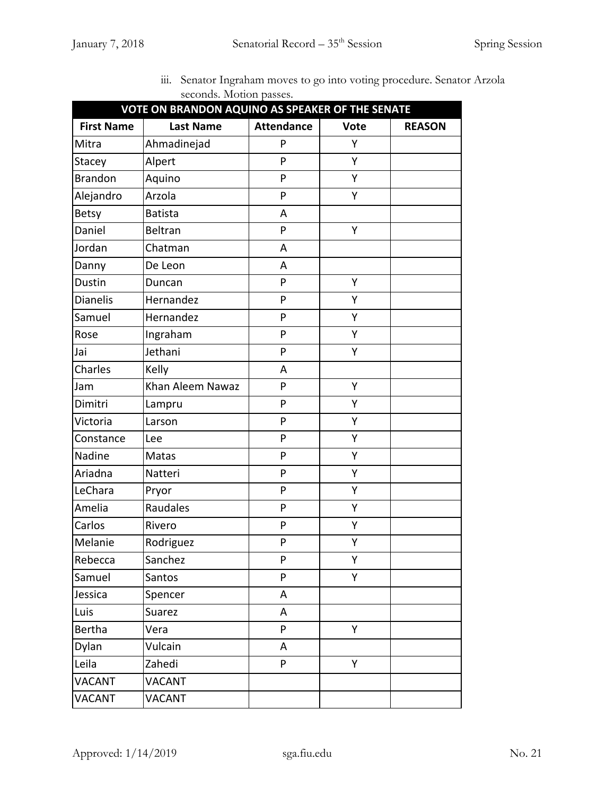| $\frac{1}{2}$<br>VOTE ON BRANDON AQUINO AS SPEAKER OF THE SENATE |                  |                   |             |               |
|------------------------------------------------------------------|------------------|-------------------|-------------|---------------|
| <b>First Name</b>                                                | <b>Last Name</b> | <b>Attendance</b> | <b>Vote</b> | <b>REASON</b> |
| Mitra                                                            | Ahmadinejad      | P                 | Y           |               |
| Stacey                                                           | Alpert           | P                 | Y           |               |
| <b>Brandon</b>                                                   | Aquino           | P                 | Υ           |               |
| Alejandro                                                        | Arzola           | P                 | Υ           |               |
| <b>Betsy</b>                                                     | <b>Batista</b>   | A                 |             |               |
| Daniel                                                           | <b>Beltran</b>   | P                 | Υ           |               |
| Jordan                                                           | Chatman          | A                 |             |               |
| Danny                                                            | De Leon          | Α                 |             |               |
| Dustin                                                           | Duncan           | P                 | Y           |               |
| <b>Dianelis</b>                                                  | Hernandez        | P                 | Υ           |               |
| Samuel                                                           | Hernandez        | P                 | Υ           |               |
| Rose                                                             | Ingraham         | P                 | Υ           |               |
| Jai                                                              | Jethani          | P                 | Υ           |               |
| Charles                                                          | Kelly            | Α                 |             |               |
| Jam                                                              | Khan Aleem Nawaz | P                 | Υ           |               |
| Dimitri                                                          | Lampru           | P                 | Υ           |               |
| Victoria                                                         | Larson           | P                 | Υ           |               |
| Constance                                                        | Lee              | P                 | Υ           |               |
| Nadine                                                           | Matas            | P                 | Υ           |               |
| Ariadna                                                          | Natteri          | P                 | Υ           |               |
| LeChara                                                          | Pryor            | P                 | Υ           |               |
| Amelia                                                           | Raudales         | P                 | Υ           |               |
| Carlos                                                           | Rivero           | P                 | Υ           |               |
| Melanie                                                          | Rodriguez        | P                 | Υ           |               |
| Rebecca                                                          | Sanchez          | P                 | Υ           |               |
| Samuel                                                           | Santos           | P                 | Υ           |               |
| Jessica                                                          | Spencer          | A                 |             |               |
| Luis                                                             | Suarez           | A                 |             |               |
| Bertha                                                           | Vera             | P                 | Υ           |               |
| Dylan                                                            | Vulcain          | A                 |             |               |
| Leila                                                            | Zahedi           | P                 | Y           |               |
| <b>VACANT</b>                                                    | <b>VACANT</b>    |                   |             |               |
| <b>VACANT</b>                                                    | <b>VACANT</b>    |                   |             |               |

iii. Senator Ingraham moves to go into voting procedure. Senator Arzola seconds. Motion passes.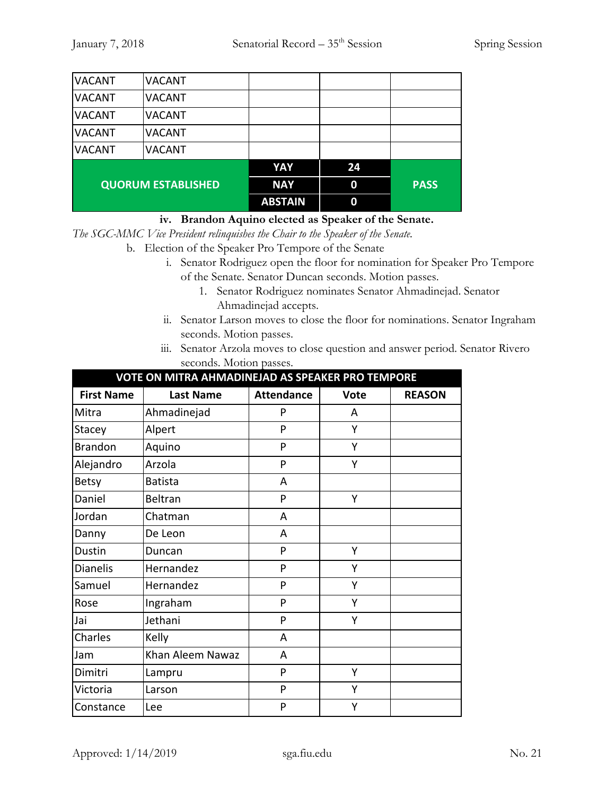| <b>VACANT</b> | <b>VACANT</b>             |                |    |             |
|---------------|---------------------------|----------------|----|-------------|
| <b>VACANT</b> | <b>VACANT</b>             |                |    |             |
| <b>VACANT</b> | <b>VACANT</b>             |                |    |             |
| <b>VACANT</b> | <b>VACANT</b>             |                |    |             |
| <b>VACANT</b> | <b>VACANT</b>             |                |    |             |
|               |                           | YAY            | 24 |             |
|               | <b>QUORUM ESTABLISHED</b> | <b>NAY</b>     | 0  | <b>PASS</b> |
|               |                           | <b>ABSTAIN</b> | 0  |             |

#### **iv. Brandon Aquino elected as Speaker of the Senate.**

*The SGC-MMC Vice President relinquishes the Chair to the Speaker of the Senate.*

- b. Election of the Speaker Pro Tempore of the Senate
	- i. Senator Rodriguez open the floor for nomination for Speaker Pro Tempore of the Senate. Senator Duncan seconds. Motion passes.
		- 1. Senator Rodriguez nominates Senator Ahmadinejad. Senator Ahmadinejad accepts.
	- ii. Senator Larson moves to close the floor for nominations. Senator Ingraham seconds. Motion passes.
	- iii. Senator Arzola moves to close question and answer period. Senator Rivero seconds. Motion passes.

**VOTE ON MITRA AHMADINEJAD AS SPEAKER PRO TEMPORE**

| <u>VUTE UN IVITIKA ANIVIADINEJAD AS SPEAKEK PKU TEIVIPUKE</u> |                  |                   |             |               |
|---------------------------------------------------------------|------------------|-------------------|-------------|---------------|
| <b>First Name</b>                                             | <b>Last Name</b> | <b>Attendance</b> | <b>Vote</b> | <b>REASON</b> |
| Mitra                                                         | Ahmadinejad      | P                 | Α           |               |
| Stacey                                                        | Alpert           | P                 | Υ           |               |
| <b>Brandon</b>                                                | Aquino           | P                 | Y           |               |
| Alejandro                                                     | Arzola           | P                 | Y           |               |
| <b>Betsy</b>                                                  | <b>Batista</b>   | A                 |             |               |
| Daniel                                                        | Beltran          | P                 | Υ           |               |
| Jordan                                                        | Chatman          | A                 |             |               |
| Danny                                                         | De Leon          | A                 |             |               |
| Dustin                                                        | Duncan           | P                 | Y           |               |
| <b>Dianelis</b>                                               | Hernandez        | P                 | Y           |               |
| Samuel                                                        | Hernandez        | P                 | Υ           |               |
| Rose                                                          | Ingraham         | P                 | Υ           |               |
| Jai                                                           | Jethani          | P                 | Υ           |               |
| Charles                                                       | Kelly            | A                 |             |               |
| Jam                                                           | Khan Aleem Nawaz | A                 |             |               |
| Dimitri                                                       | Lampru           | P                 | Υ           |               |
| Victoria                                                      | Larson           | P                 | Υ           |               |
| Constance                                                     | Lee              | P                 | Y           |               |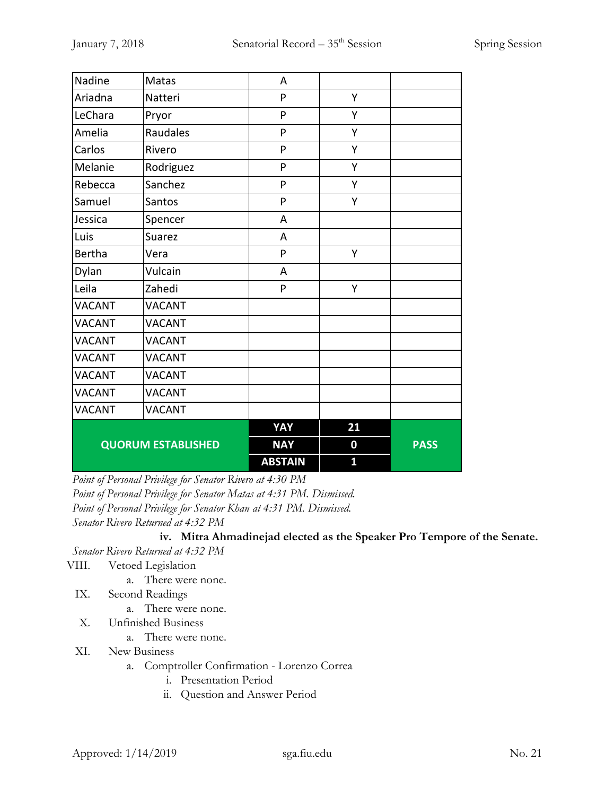| Nadine                    | Matas         | A              |                  |             |
|---------------------------|---------------|----------------|------------------|-------------|
| Ariadna                   | Natteri       | P              | Υ                |             |
| LeChara                   | Pryor         | P              | Υ                |             |
| Amelia                    | Raudales      | P              | Y                |             |
| Carlos                    | Rivero        | P              | Y                |             |
| Melanie                   | Rodriguez     | P              | Υ                |             |
| Rebecca                   | Sanchez       | P              | Υ                |             |
| Samuel                    | Santos        | P              | Υ                |             |
| Jessica                   | Spencer       | A              |                  |             |
| Luis                      | Suarez        | A              |                  |             |
| <b>Bertha</b>             | Vera          | P              | Υ                |             |
| Dylan                     | Vulcain       | A              |                  |             |
| Leila                     | Zahedi        | P              | Υ                |             |
| <b>VACANT</b>             | <b>VACANT</b> |                |                  |             |
| <b>VACANT</b>             | <b>VACANT</b> |                |                  |             |
| <b>VACANT</b>             | <b>VACANT</b> |                |                  |             |
| <b>VACANT</b>             | <b>VACANT</b> |                |                  |             |
| <b>VACANT</b>             | <b>VACANT</b> |                |                  |             |
| <b>VACANT</b>             | <b>VACANT</b> |                |                  |             |
| <b>VACANT</b>             | <b>VACANT</b> |                |                  |             |
|                           |               | YAY            | 21               |             |
| <b>QUORUM ESTABLISHED</b> |               | <b>NAY</b>     | $\boldsymbol{0}$ | <b>PASS</b> |
|                           |               | <b>ABSTAIN</b> | 1                |             |

*Point of Personal Privilege for Senator Rivero at 4:30 PM Point of Personal Privilege for Senator Matas at 4:31 PM. Dismissed. Point of Personal Privilege for Senator Khan at 4:31 PM. Dismissed. Senator Rivero Returned at 4:32 PM*

**iv. Mitra Ahmadinejad elected as the Speaker Pro Tempore of the Senate.**

*Senator Rivero Returned at 4:32 PM*

#### VIII. Vetoed Legislation

a. There were none.

- IX. Second Readings
	- a. There were none.
- X. Unfinished Business
	- a. There were none.
- XI. New Business
	- a. Comptroller Confirmation Lorenzo Correa
		- i. Presentation Period
		- ii. Question and Answer Period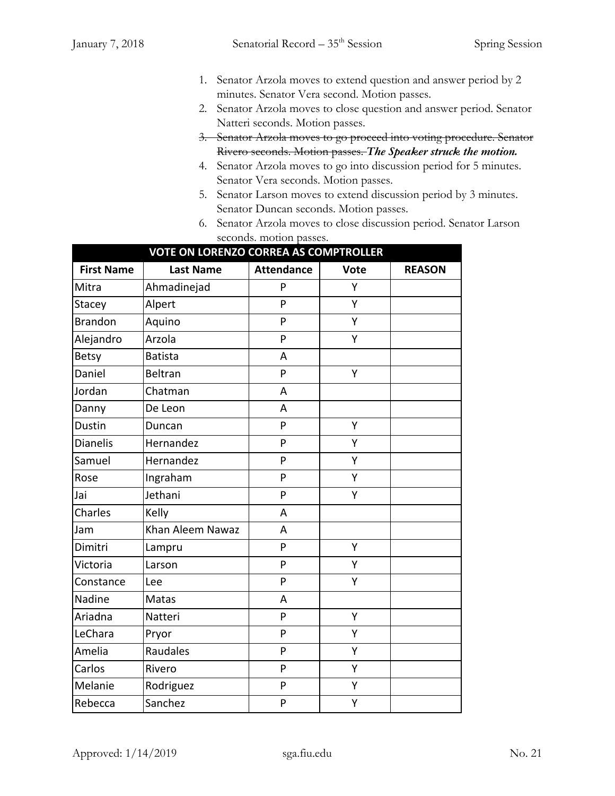- 1. Senator Arzola moves to extend question and answer period by 2 minutes. Senator Vera second. Motion passes.
- 2. Senator Arzola moves to close question and answer period. Senator Natteri seconds. Motion passes.
- 3. Senator Arzola moves to go proceed into voting procedure. Senator Rivero seconds. Motion passes. *The Speaker struck the motion.*
- 4. Senator Arzola moves to go into discussion period for 5 minutes. Senator Vera seconds. Motion passes.
- 5. Senator Larson moves to extend discussion period by 3 minutes. Senator Duncan seconds. Motion passes.
- 6. Senator Arzola moves to close discussion period. Senator Larson seconds. motion passes.

| <b>VOTE ON LORENZO CORREA AS COMPTROLLER</b> |                  |                   |             |               |
|----------------------------------------------|------------------|-------------------|-------------|---------------|
| <b>First Name</b>                            | <b>Last Name</b> | <b>Attendance</b> | <b>Vote</b> | <b>REASON</b> |
| Mitra                                        | Ahmadinejad      | P                 | Y           |               |
| Stacey                                       | Alpert           | P                 | Υ           |               |
| <b>Brandon</b>                               | Aquino           | P                 | Υ           |               |
| Alejandro                                    | Arzola           | P                 | Υ           |               |
| <b>Betsy</b>                                 | <b>Batista</b>   | A                 |             |               |
| Daniel                                       | <b>Beltran</b>   | P                 | Υ           |               |
| Jordan                                       | Chatman          | A                 |             |               |
| Danny                                        | De Leon          | A                 |             |               |
| Dustin                                       | Duncan           | P                 | Y           |               |
| <b>Dianelis</b>                              | Hernandez        | P                 | Y           |               |
| Samuel                                       | Hernandez        | P                 | Υ           |               |
| Rose                                         | Ingraham         | P                 | Υ           |               |
| Jai                                          | Jethani          | P                 | Υ           |               |
| Charles                                      | Kelly            | A                 |             |               |
| Jam                                          | Khan Aleem Nawaz | A                 |             |               |
| Dimitri                                      | Lampru           | P                 | Υ           |               |
| Victoria                                     | Larson           | P                 | Υ           |               |
| Constance                                    | Lee              | P                 | Y           |               |
| Nadine                                       | Matas            | A                 |             |               |
| Ariadna                                      | Natteri          | P                 | Υ           |               |
| LeChara                                      | Pryor            | P                 | Y           |               |
| Amelia                                       | Raudales         | P                 | Y           |               |
| Carlos                                       | Rivero           | P                 | Υ           |               |
| Melanie                                      | Rodriguez        | P                 | Υ           |               |
| Rebecca                                      | Sanchez          | P                 | Υ           |               |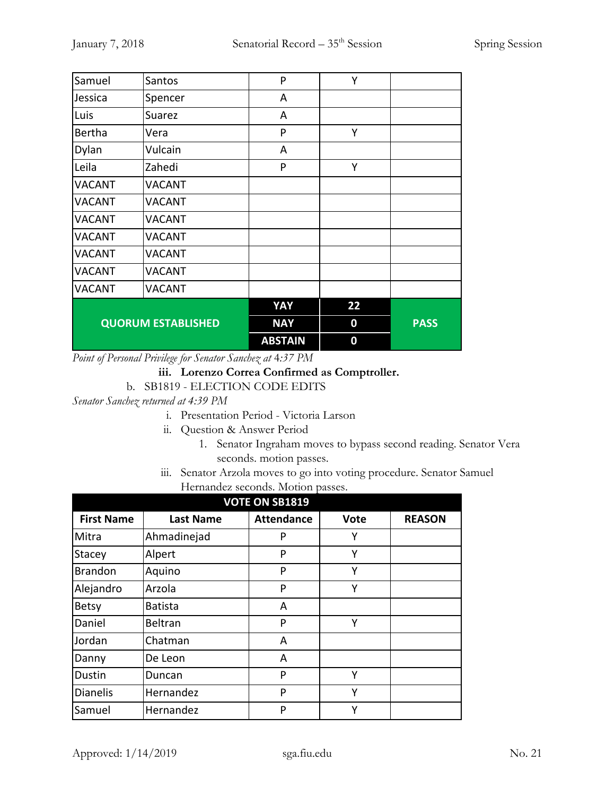| Samuel                    | Santos        | P              | Υ                |             |
|---------------------------|---------------|----------------|------------------|-------------|
| Jessica                   | Spencer       | A              |                  |             |
| Luis                      | Suarez        | A              |                  |             |
| <b>Bertha</b>             | Vera          | P              | Υ                |             |
| Dylan                     | Vulcain       | A              |                  |             |
| Leila                     | Zahedi        | P              | Υ                |             |
| <b>VACANT</b>             | <b>VACANT</b> |                |                  |             |
| <b>VACANT</b>             | <b>VACANT</b> |                |                  |             |
| <b>VACANT</b>             | <b>VACANT</b> |                |                  |             |
| <b>VACANT</b>             | <b>VACANT</b> |                |                  |             |
| <b>VACANT</b>             | <b>VACANT</b> |                |                  |             |
| <b>VACANT</b>             | <b>VACANT</b> |                |                  |             |
| <b>VACANT</b>             | <b>VACANT</b> |                |                  |             |
|                           |               | YAY            | 22               |             |
| <b>QUORUM ESTABLISHED</b> |               | <b>NAY</b>     | 0                | <b>PASS</b> |
|                           |               | <b>ABSTAIN</b> | $\boldsymbol{0}$ |             |

*Point of Personal Privilege for Senator Sanchez at* 4*:37 PM*

# **iii. Lorenzo Correa Confirmed as Comptroller.**

b. SB1819 - ELECTION CODE EDITS

*Senator Sanchez returned at 4:39 PM*

- i. Presentation Period Victoria Larson
- ii. Question & Answer Period
	- 1. Senator Ingraham moves to bypass second reading. Senator Vera seconds. motion passes.
- iii. Senator Arzola moves to go into voting procedure. Senator Samuel Hernandez seconds. Motion passes.

| <b>VOTE ON SB1819</b> |                  |                   |             |               |  |
|-----------------------|------------------|-------------------|-------------|---------------|--|
| <b>First Name</b>     | <b>Last Name</b> | <b>Attendance</b> | <b>Vote</b> | <b>REASON</b> |  |
| Mitra                 | Ahmadinejad      | P                 | Υ           |               |  |
| Stacey                | Alpert           | P                 | Υ           |               |  |
| <b>Brandon</b>        | Aquino           | P                 | Υ           |               |  |
| Alejandro             | Arzola           | P                 | Υ           |               |  |
| <b>Betsy</b>          | <b>Batista</b>   | A                 |             |               |  |
| Daniel                | <b>Beltran</b>   | P                 | Υ           |               |  |
| Jordan                | Chatman          | A                 |             |               |  |
| Danny                 | De Leon          | A                 |             |               |  |
| Dustin                | Duncan           | P                 | Υ           |               |  |
| <b>Dianelis</b>       | Hernandez        | P                 | Υ           |               |  |
| Samuel                | Hernandez        | P                 | Υ           |               |  |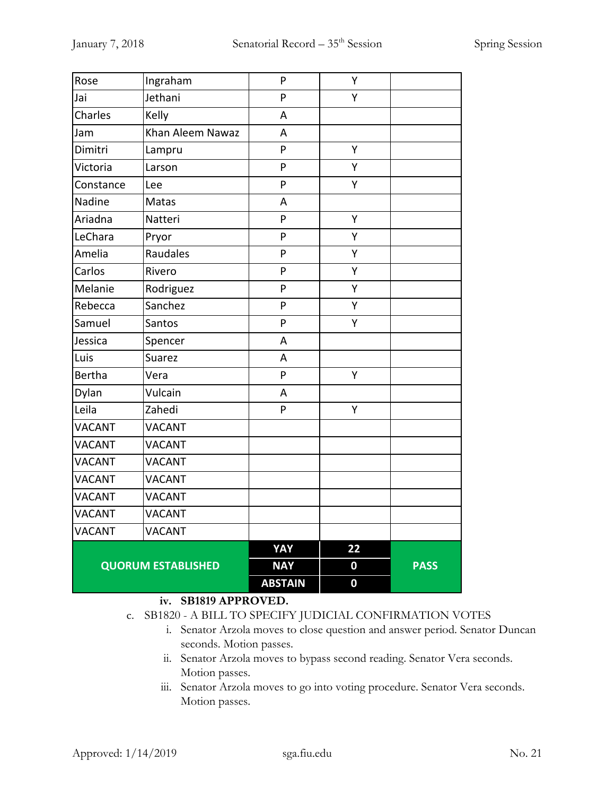| Rose                      | Ingraham         | P              | Υ                |             |
|---------------------------|------------------|----------------|------------------|-------------|
| Jai                       | Jethani          | P              | Υ                |             |
| Charles                   | Kelly            | A              |                  |             |
| Jam                       | Khan Aleem Nawaz | А              |                  |             |
| Dimitri                   | Lampru           | P              | Υ                |             |
| Victoria                  | Larson           | P              | Υ                |             |
| Constance                 | Lee              | P              | Υ                |             |
| Nadine                    | Matas            | A              |                  |             |
| Ariadna                   | Natteri          | P              | Υ                |             |
| LeChara                   | Pryor            | P              | Υ                |             |
| Amelia                    | Raudales         | P              | Y                |             |
| Carlos                    | Rivero           | P              | Υ                |             |
| Melanie                   | Rodriguez        | P              | Y                |             |
| Rebecca                   | Sanchez          | P              | Υ                |             |
| Samuel                    | Santos           | P              | Υ                |             |
| Jessica                   | Spencer          | A              |                  |             |
| Luis                      | <b>Suarez</b>    | A              |                  |             |
| <b>Bertha</b>             | Vera             | P              | Υ                |             |
| Dylan                     | Vulcain          | A              |                  |             |
| Leila                     | Zahedi           | P              | Υ                |             |
| <b>VACANT</b>             | <b>VACANT</b>    |                |                  |             |
| <b>VACANT</b>             | <b>VACANT</b>    |                |                  |             |
| <b>VACANT</b>             | <b>VACANT</b>    |                |                  |             |
| <b>VACANT</b>             | <b>VACANT</b>    |                |                  |             |
| <b>VACANT</b>             | <b>VACANT</b>    |                |                  |             |
| <b>VACANT</b>             | <b>VACANT</b>    |                |                  |             |
| <b>VACANT</b>             | <b>VACANT</b>    |                |                  |             |
|                           |                  | <b>YAY</b>     | 22               |             |
| <b>QUORUM ESTABLISHED</b> |                  | <b>NAY</b>     | $\boldsymbol{0}$ | <b>PASS</b> |
|                           |                  | <b>ABSTAIN</b> | $\boldsymbol{0}$ |             |

#### **iv. SB1819 APPROVED.**

- c. SB1820 A BILL TO SPECIFY JUDICIAL CONFIRMATION VOTES
	- i. Senator Arzola moves to close question and answer period. Senator Duncan seconds. Motion passes.
	- ii. Senator Arzola moves to bypass second reading. Senator Vera seconds. Motion passes.
	- iii. Senator Arzola moves to go into voting procedure. Senator Vera seconds. Motion passes.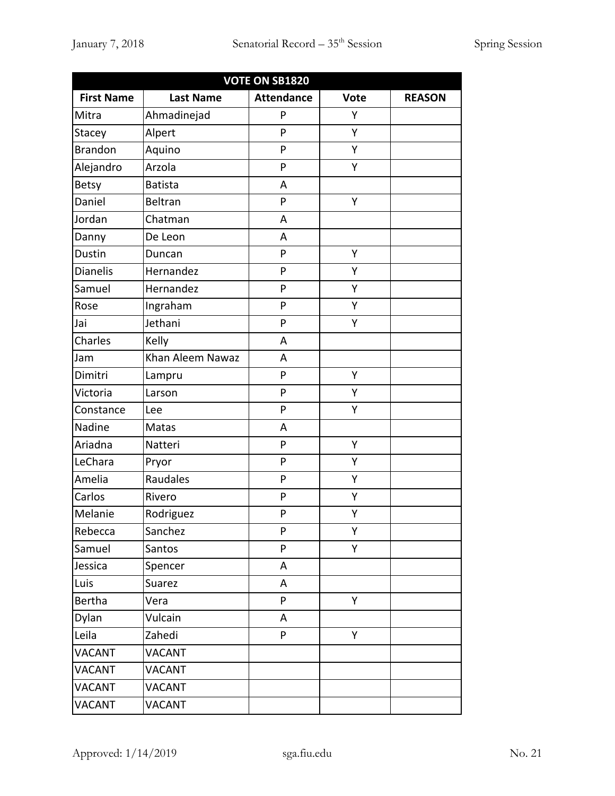| <b>VOTE ON SB1820</b> |                                                                       |   |   |  |  |  |  |  |  |
|-----------------------|-----------------------------------------------------------------------|---|---|--|--|--|--|--|--|
| <b>First Name</b>     | <b>Last Name</b><br><b>Attendance</b><br><b>REASON</b><br><b>Vote</b> |   |   |  |  |  |  |  |  |
| Mitra                 | Ahmadinejad                                                           | P | Υ |  |  |  |  |  |  |
| Stacey                | Alpert                                                                | P | Υ |  |  |  |  |  |  |
| <b>Brandon</b>        | Aquino                                                                | P | Υ |  |  |  |  |  |  |
| Alejandro             | Arzola                                                                | P | Υ |  |  |  |  |  |  |
| <b>Betsy</b>          | <b>Batista</b>                                                        | A |   |  |  |  |  |  |  |
| Daniel                | <b>Beltran</b>                                                        | P | Υ |  |  |  |  |  |  |
| Jordan                | Chatman                                                               | A |   |  |  |  |  |  |  |
| Danny                 | De Leon                                                               | A |   |  |  |  |  |  |  |
| Dustin                | Duncan                                                                | P | Υ |  |  |  |  |  |  |
| <b>Dianelis</b>       | Hernandez                                                             | P | Υ |  |  |  |  |  |  |
| Samuel                | Hernandez                                                             | P | Υ |  |  |  |  |  |  |
| Rose                  | Ingraham                                                              | P | Υ |  |  |  |  |  |  |
| Jai                   | Jethani                                                               | P | Υ |  |  |  |  |  |  |
| Charles               | Kelly                                                                 | A |   |  |  |  |  |  |  |
| Jam                   | Khan Aleem Nawaz                                                      | Α |   |  |  |  |  |  |  |
| Dimitri               | Lampru                                                                | P | Υ |  |  |  |  |  |  |
| Victoria              | Larson                                                                | P | Υ |  |  |  |  |  |  |
| Constance             | Lee                                                                   | P | Υ |  |  |  |  |  |  |
| Nadine                | Matas                                                                 | Α |   |  |  |  |  |  |  |
| Ariadna               | Natteri                                                               | P | Υ |  |  |  |  |  |  |
| LeChara               | Pryor                                                                 | P | Υ |  |  |  |  |  |  |
| Amelia                | Raudales                                                              | P | Υ |  |  |  |  |  |  |
| Carlos                | Rivero                                                                | P | Υ |  |  |  |  |  |  |
| Melanie               | Rodriguez                                                             | P | Υ |  |  |  |  |  |  |
| Rebecca               | Sanchez                                                               | P | Υ |  |  |  |  |  |  |
| Samuel                | Santos                                                                | P | Υ |  |  |  |  |  |  |
| Jessica               | Spencer                                                               | A |   |  |  |  |  |  |  |
| Luis                  | Suarez                                                                | A |   |  |  |  |  |  |  |
| Bertha                | Vera                                                                  | P | Y |  |  |  |  |  |  |
| Dylan                 | Vulcain                                                               | A |   |  |  |  |  |  |  |
| Leila                 | Zahedi                                                                | P | Υ |  |  |  |  |  |  |
| <b>VACANT</b>         | <b>VACANT</b>                                                         |   |   |  |  |  |  |  |  |
| <b>VACANT</b>         | <b>VACANT</b>                                                         |   |   |  |  |  |  |  |  |
| <b>VACANT</b>         | <b>VACANT</b>                                                         |   |   |  |  |  |  |  |  |
| <b>VACANT</b>         | <b>VACANT</b>                                                         |   |   |  |  |  |  |  |  |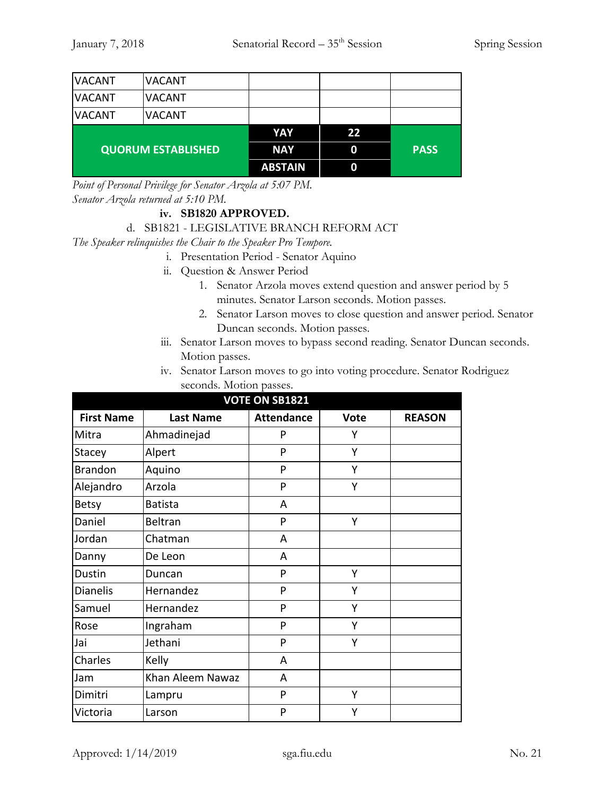| <b>VACANT</b> | <b>VACANT</b>             |                |    |             |
|---------------|---------------------------|----------------|----|-------------|
| <b>VACANT</b> | <b>VACANT</b>             |                |    |             |
| <b>VACANT</b> | <b>VACANT</b>             |                |    |             |
|               |                           | YAY            | 22 |             |
|               | <b>QUORUM ESTABLISHED</b> | <b>NAY</b>     | 0  | <b>PASS</b> |
|               |                           | <b>ABSTAIN</b> | 0  |             |

*Point of Personal Privilege for Senator Arzola at 5:07 PM. Senator Arzola returned at 5:10 PM.*

#### **iv. SB1820 APPROVED.**

#### d. SB1821 - LEGISLATIVE BRANCH REFORM ACT

*The Speaker relinquishes the Chair to the Speaker Pro Tempore.*

- i. Presentation Period Senator Aquino
- ii. Question & Answer Period
	- 1. Senator Arzola moves extend question and answer period by 5 minutes. Senator Larson seconds. Motion passes.
	- 2. Senator Larson moves to close question and answer period. Senator Duncan seconds. Motion passes.
- iii. Senator Larson moves to bypass second reading. Senator Duncan seconds. Motion passes.
- iv. Senator Larson moves to go into voting procedure. Senator Rodriguez seconds. Motion passes.

| <b>VOTE ON SB1821</b> |                  |                   |             |               |
|-----------------------|------------------|-------------------|-------------|---------------|
| <b>First Name</b>     | <b>Last Name</b> | <b>Attendance</b> | <b>Vote</b> | <b>REASON</b> |
| Mitra                 | Ahmadinejad      | P                 | Υ           |               |
| Stacey                | Alpert           | P                 | Y           |               |
| <b>Brandon</b>        | Aquino           | P                 | Y           |               |
| Alejandro             | Arzola           | P                 | Υ           |               |
| <b>Betsy</b>          | <b>Batista</b>   | A                 |             |               |
| Daniel                | <b>Beltran</b>   | P                 | Υ           |               |
| Jordan                | Chatman          | A                 |             |               |
| Danny                 | De Leon          | A                 |             |               |
| Dustin                | Duncan           | P                 | Υ           |               |
| <b>Dianelis</b>       | Hernandez        | P                 | Υ           |               |
| Samuel                | Hernandez        | P                 | Υ           |               |
| Rose                  | Ingraham         | P                 | Υ           |               |
| Jai                   | Jethani          | P                 | Ý           |               |
| Charles               | Kelly            | A                 |             |               |
| Jam                   | Khan Aleem Nawaz | A                 |             |               |
| Dimitri               | Lampru           | P                 | Υ           |               |
| Victoria              | Larson           | P                 | Υ           |               |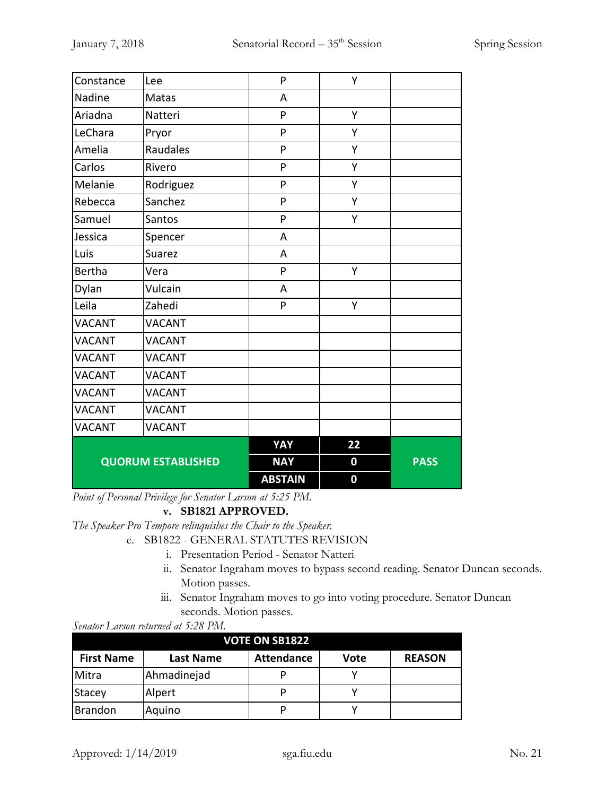| Constance                 | Lee           | P              | Υ                |             |
|---------------------------|---------------|----------------|------------------|-------------|
| Nadine                    | Matas         | A              |                  |             |
| Ariadna                   | Natteri       | P              | Υ                |             |
| LeChara                   | Pryor         | P              | Υ                |             |
| Amelia                    | Raudales      | P              | Υ                |             |
| Carlos                    | Rivero        | P              | Y                |             |
| Melanie                   | Rodriguez     | P              | Υ                |             |
| Rebecca                   | Sanchez       | P              | Υ                |             |
| Samuel                    | Santos        | P              | Υ                |             |
| Jessica                   | Spencer       | A              |                  |             |
| Luis                      | Suarez        | A              |                  |             |
| <b>Bertha</b>             | Vera          | P              | Υ                |             |
| Dylan                     | Vulcain       | A              |                  |             |
| Leila                     | Zahedi        | P              | Y                |             |
| <b>VACANT</b>             | <b>VACANT</b> |                |                  |             |
| <b>VACANT</b>             | <b>VACANT</b> |                |                  |             |
| <b>VACANT</b>             | <b>VACANT</b> |                |                  |             |
| <b>VACANT</b>             | <b>VACANT</b> |                |                  |             |
| <b>VACANT</b>             | <b>VACANT</b> |                |                  |             |
| <b>VACANT</b>             | <b>VACANT</b> |                |                  |             |
| <b>VACANT</b>             | <b>VACANT</b> |                |                  |             |
|                           |               | YAY            | 22               |             |
| <b>QUORUM ESTABLISHED</b> |               | <b>NAY</b>     | $\boldsymbol{0}$ | <b>PASS</b> |
|                           |               | <b>ABSTAIN</b> | $\bf{0}$         |             |

*Point of Personal Privilege for Senator Larson at 5:25 PM.*

# **v. SB1821 APPROVED.**

*The Speaker Pro Tempore relinquishes the Chair to the Speaker.*

- e. SB1822 GENERAL STATUTES REVISION
	- i. Presentation Period Senator Natteri
	- ii. Senator Ingraham moves to bypass second reading. Senator Duncan seconds. Motion passes.
	- iii. Senator Ingraham moves to go into voting procedure. Senator Duncan seconds. Motion passes.

*Senator Larson returned at 5:28 PM.*

| <b>VOTE ON SB1822</b> |                  |                   |      |               |
|-----------------------|------------------|-------------------|------|---------------|
| <b>First Name</b>     | <b>Last Name</b> | <b>Attendance</b> | Vote | <b>REASON</b> |
| Mitra                 | Ahmadinejad      | D                 |      |               |
| Stacey                | Alpert           | p                 |      |               |
| <b>Brandon</b>        | Aquino           | D                 |      |               |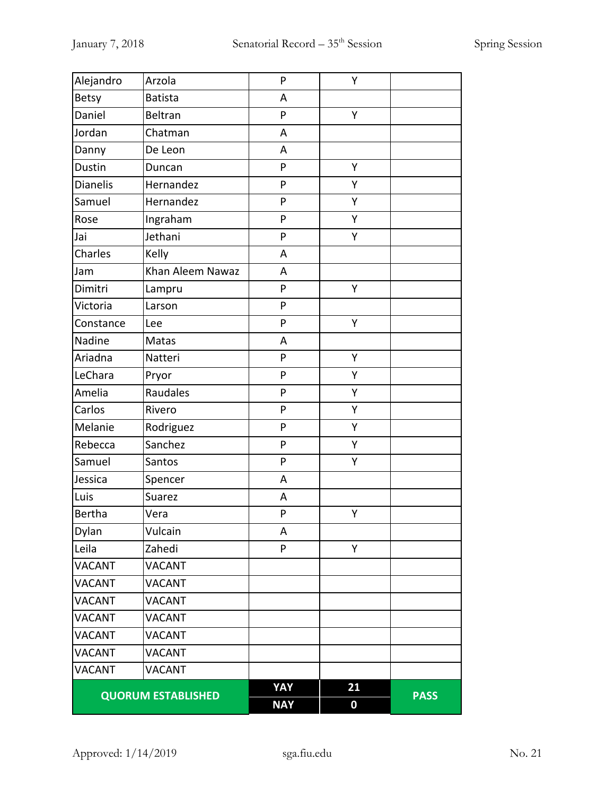| Alejandro                 | Arzola           | P          | Υ                |             |
|---------------------------|------------------|------------|------------------|-------------|
| <b>Betsy</b>              | <b>Batista</b>   | A          |                  |             |
| Daniel                    | Beltran          | P          | Y                |             |
| Jordan                    | Chatman          | A          |                  |             |
| Danny                     | De Leon          | A          |                  |             |
| Dustin                    | Duncan           | P          | Υ                |             |
| <b>Dianelis</b>           | Hernandez        | P          | Y                |             |
| Samuel                    | Hernandez        | P          | Υ                |             |
| Rose                      | Ingraham         | P          | Y                |             |
| Jai                       | Jethani          | P          | Υ                |             |
| Charles                   | Kelly            | A          |                  |             |
| Jam                       | Khan Aleem Nawaz | A          |                  |             |
| Dimitri                   | Lampru           | P          | Υ                |             |
| Victoria                  | Larson           | P          |                  |             |
| Constance                 | Lee              | P          | Υ                |             |
| Nadine                    | Matas            | A          |                  |             |
| Ariadna                   | Natteri          | P          | Υ                |             |
| LeChara                   | Pryor            | P          | Υ                |             |
| Amelia                    | Raudales         | P          | Υ                |             |
| Carlos                    | Rivero           | P          | Υ                |             |
| Melanie                   | Rodriguez        | P          | Y                |             |
| Rebecca                   | Sanchez          | P          | Υ                |             |
| Samuel                    | Santos           | P          | Υ                |             |
| Jessica                   | Spencer          | A          |                  |             |
| Luis                      | Suarez           | A          |                  |             |
| Bertha                    | Vera             | P          | Υ                |             |
| Dylan                     | Vulcain          | A          |                  |             |
| Leila                     | Zahedi           | P          | Υ                |             |
| <b>VACANT</b>             | <b>VACANT</b>    |            |                  |             |
| <b>VACANT</b>             | <b>VACANT</b>    |            |                  |             |
| <b>VACANT</b>             | <b>VACANT</b>    |            |                  |             |
| <b>VACANT</b>             | <b>VACANT</b>    |            |                  |             |
| <b>VACANT</b>             | <b>VACANT</b>    |            |                  |             |
| <b>VACANT</b>             | <b>VACANT</b>    |            |                  |             |
| <b>VACANT</b>             | <b>VACANT</b>    |            |                  |             |
| <b>QUORUM ESTABLISHED</b> |                  | YAY        | 21               | <b>PASS</b> |
|                           |                  | <b>NAY</b> | $\boldsymbol{0}$ |             |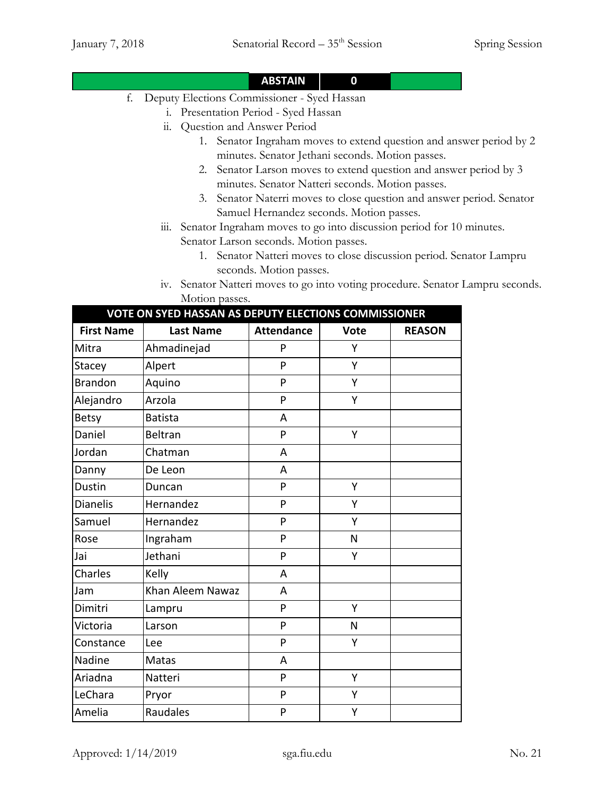# **ABSTAIN 0**

- f. Deputy Elections Commissioner Syed Hassan
	- i. Presentation Period Syed Hassan
	- ii. Question and Answer Period
		- 1. Senator Ingraham moves to extend question and answer period by 2 minutes. Senator Jethani seconds. Motion passes.
		- 2. Senator Larson moves to extend question and answer period by 3 minutes. Senator Natteri seconds. Motion passes.
		- 3. Senator Naterri moves to close question and answer period. Senator Samuel Hernandez seconds. Motion passes.
	- iii. Senator Ingraham moves to go into discussion period for 10 minutes. Senator Larson seconds. Motion passes.
		- 1. Senator Natteri moves to close discussion period. Senator Lampru seconds. Motion passes.
	- iv. Senator Natteri moves to go into voting procedure. Senator Lampru seconds. Motion passes.

| VOTE ON SYED HASSAN AS DEPUTY ELECTIONS COMMISSIONER |                  |                   |             |               |
|------------------------------------------------------|------------------|-------------------|-------------|---------------|
| <b>First Name</b>                                    | <b>Last Name</b> | <b>Attendance</b> | <b>Vote</b> | <b>REASON</b> |
| Mitra                                                | Ahmadinejad      | P                 | Υ           |               |
| Stacey                                               | Alpert           | P                 | Y           |               |
| <b>Brandon</b>                                       | Aquino           | P                 | Υ           |               |
| Alejandro                                            | Arzola           | P                 | Y           |               |
| <b>Betsy</b>                                         | <b>Batista</b>   | A                 |             |               |
| Daniel                                               | <b>Beltran</b>   | P                 | Υ           |               |
| Jordan                                               | Chatman          | A                 |             |               |
| Danny                                                | De Leon          | A                 |             |               |
| <b>Dustin</b>                                        | Duncan           | P                 | Y           |               |
| <b>Dianelis</b>                                      | Hernandez        | P                 | Υ           |               |
| Samuel                                               | Hernandez        | P                 | Y           |               |
| Rose                                                 | Ingraham         | P                 | N           |               |
| Jai                                                  | Jethani          | P                 | Y           |               |
| Charles                                              | Kelly            | A                 |             |               |
| Jam                                                  | Khan Aleem Nawaz | A                 |             |               |
| Dimitri                                              | Lampru           | P                 | Y           |               |
| Victoria                                             | Larson           | P                 | N           |               |
| Constance                                            | Lee              | P                 | Υ           |               |
| Nadine                                               | Matas            | A                 |             |               |
| Ariadna                                              | Natteri          | P                 | Y           |               |
| LeChara                                              | Pryor            | P                 | Υ           |               |
| Amelia                                               | Raudales         | P                 | Υ           |               |

Approved:  $1/14/2019$  sga.fiu.edu No. 21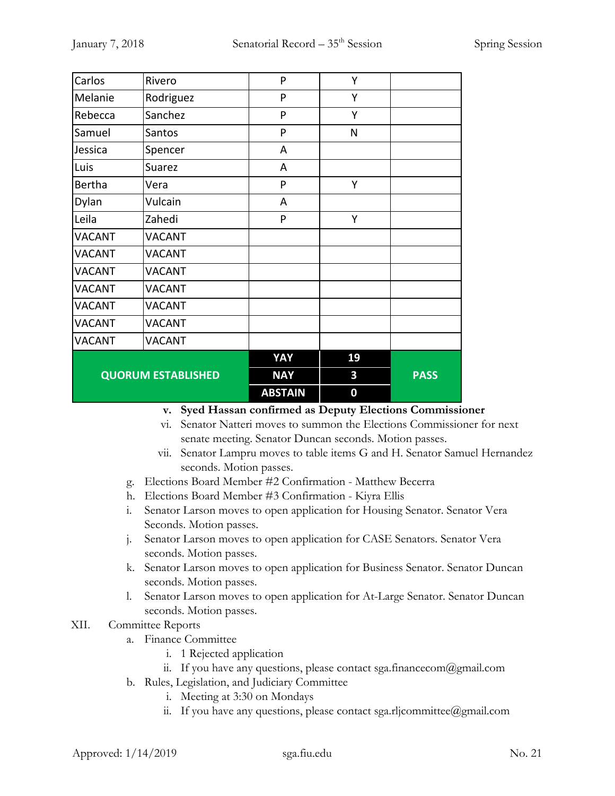| Carlos                    | Rivero        | P              | Υ        |             |
|---------------------------|---------------|----------------|----------|-------------|
| Melanie                   | Rodriguez     | P              | Y        |             |
| Rebecca                   | Sanchez       | P              | Υ        |             |
| Samuel                    | Santos        | P              | N        |             |
| Jessica                   | Spencer       | A              |          |             |
| Luis                      | Suarez        | A              |          |             |
| <b>Bertha</b>             | Vera          | P              | Υ        |             |
| Dylan                     | Vulcain       | A              |          |             |
| Leila                     | Zahedi        | P              | Y        |             |
| <b>VACANT</b>             | <b>VACANT</b> |                |          |             |
| <b>VACANT</b>             | <b>VACANT</b> |                |          |             |
| <b>VACANT</b>             | <b>VACANT</b> |                |          |             |
| <b>VACANT</b>             | <b>VACANT</b> |                |          |             |
| <b>VACANT</b>             | <b>VACANT</b> |                |          |             |
| <b>VACANT</b>             | <b>VACANT</b> |                |          |             |
| <b>VACANT</b>             | <b>VACANT</b> |                |          |             |
|                           |               | YAY            | 19       |             |
| <b>QUORUM ESTABLISHED</b> |               | <b>NAY</b>     | 3        | <b>PASS</b> |
|                           |               | <b>ABSTAIN</b> | $\bf{0}$ |             |

- **v. Syed Hassan confirmed as Deputy Elections Commissioner**
- vi. Senator Natteri moves to summon the Elections Commissioner for next senate meeting. Senator Duncan seconds. Motion passes.
- vii. Senator Lampru moves to table items G and H. Senator Samuel Hernandez seconds. Motion passes.
- g. Elections Board Member #2 Confirmation Matthew Becerra
- h. Elections Board Member #3 Confirmation Kiyra Ellis
- i. Senator Larson moves to open application for Housing Senator. Senator Vera Seconds. Motion passes.
- j. Senator Larson moves to open application for CASE Senators. Senator Vera seconds. Motion passes.
- k. Senator Larson moves to open application for Business Senator. Senator Duncan seconds. Motion passes.
- l. Senator Larson moves to open application for At-Large Senator. Senator Duncan seconds. Motion passes.

#### XII. Committee Reports

- a. Finance Committee
	- i. 1 Rejected application
	- ii. If you have any questions, please contact sga.financecom@gmail.com
- b. Rules, Legislation, and Judiciary Committee
	- i. Meeting at 3:30 on Mondays
	- ii. If you have any questions, please contact sga.rljcommittee@gmail.com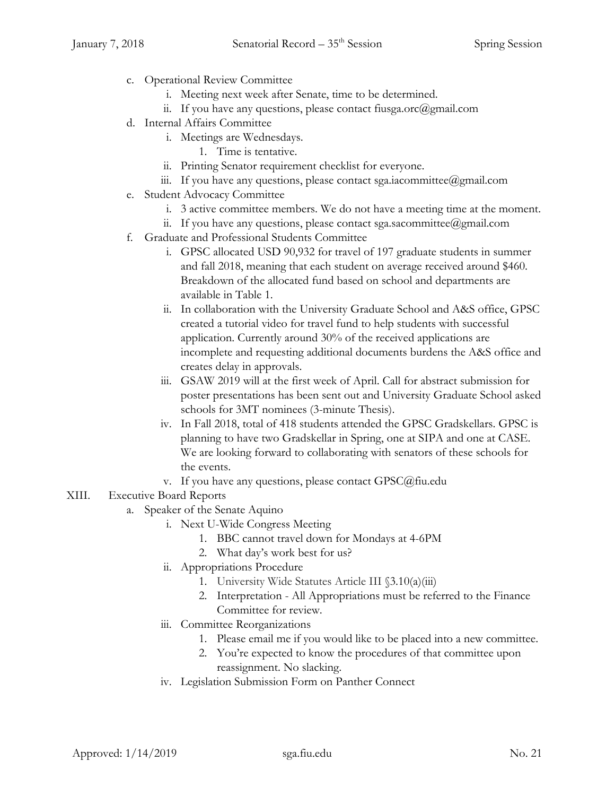- c. Operational Review Committee
	- i. Meeting next week after Senate, time to be determined.
	- ii. If you have any questions, please contact fiusga.orc@gmail.com
- d. Internal Affairs Committee
	- i. Meetings are Wednesdays.
		- 1. Time is tentative.
	- ii. Printing Senator requirement checklist for everyone.
	- iii. If you have any questions, please contact sga.iacommittee@gmail.com
- e. Student Advocacy Committee
	- i. 3 active committee members. We do not have a meeting time at the moment.
	- ii. If you have any questions, please contact sga.sacommittee@gmail.com
- f. Graduate and Professional Students Committee
	- i. GPSC allocated USD 90,932 for travel of 197 graduate students in summer and fall 2018, meaning that each student on average received around \$460. Breakdown of the allocated fund based on school and departments are available in Table 1.
	- ii. In collaboration with the University Graduate School and A&S office, GPSC created a tutorial video for travel fund to help students with successful application. Currently around 30% of the received applications are incomplete and requesting additional documents burdens the A&S office and creates delay in approvals.
	- iii. GSAW 2019 will at the first week of April. Call for abstract submission for poster presentations has been sent out and University Graduate School asked schools for 3MT nominees (3-minute Thesis).
	- iv. In Fall 2018, total of 418 students attended the GPSC Gradskellars. GPSC is planning to have two Gradskellar in Spring, one at SIPA and one at CASE. We are looking forward to collaborating with senators of these schools for the events.
	- v. If you have any questions, please contact GPSC@fiu.edu

# XIII. Executive Board Reports

- a. Speaker of the Senate Aquino
	- i. Next U-Wide Congress Meeting
		- 1. BBC cannot travel down for Mondays at 4-6PM
		- 2. What day's work best for us?
	- ii. Appropriations Procedure
		- 1. University Wide Statutes Article III §3.10(a)(iii)
		- 2. Interpretation All Appropriations must be referred to the Finance Committee for review.
	- iii. Committee Reorganizations
		- 1. Please email me if you would like to be placed into a new committee.
		- 2. You're expected to know the procedures of that committee upon reassignment. No slacking.
	- iv. Legislation Submission Form on Panther Connect